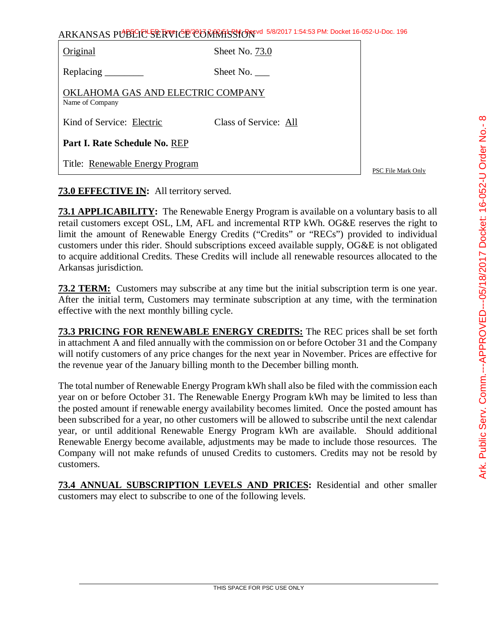|                                                      | ARKANSAS PUBLIC SERVICE COMMISSION 5/8/2017 1:54:53 PM: Docket 16-052-U-Doc. 196 |                    |
|------------------------------------------------------|----------------------------------------------------------------------------------|--------------------|
| Original                                             | Sheet No. 73.0                                                                   |                    |
|                                                      | Sheet No.                                                                        |                    |
| OKLAHOMA GAS AND ELECTRIC COMPANY<br>Name of Company |                                                                                  |                    |
| Kind of Service: Electric                            | Class of Service: All                                                            |                    |
| Part I. Rate Schedule No. REP                        |                                                                                  |                    |
| Title: Renewable Energy Program                      |                                                                                  | PSC File Mark Only |

## **73.0 EFFECTIVE IN:** All territory served.

**73.1 APPLICABILITY:** The Renewable Energy Program is available on a voluntary basis to all retail customers except OSL, LM, AFL and incremental RTP kWh. OG&E reserves the right to limit the amount of Renewable Energy Credits ("Credits" or "RECs") provided to individual customers under this rider. Should subscriptions exceed available supply, OG&E is not obligated to acquire additional Credits. These Credits will include all renewable resources allocated to the Arkansas jurisdiction.

**73.2 TERM:** Customers may subscribe at any time but the initial subscription term is one year. After the initial term, Customers may terminate subscription at any time, with the termination effective with the next monthly billing cycle.

**73.3 PRICING FOR RENEWABLE ENERGY CREDITS:** The REC prices shall be set forth in attachment A and filed annually with the commission on or before October 31 and the Company will notify customers of any price changes for the next year in November. Prices are effective for the revenue year of the January billing month to the December billing month.

The total number of Renewable Energy Program kWh shall also be filed with the commission each year on or before October 31. The Renewable Energy Program kWh may be limited to less than the posted amount if renewable energy availability becomes limited. Once the posted amount has been subscribed for a year, no other customers will be allowed to subscribe until the next calendar year, or until additional Renewable Energy Program kWh are available. Should additional Renewable Energy become available, adjustments may be made to include those resources. The Company will not make refunds of unused Credits to customers. Credits may not be resold by customers.

**73.4 ANNUAL SUBSCRIPTION LEVELS AND PRICES:** Residential and other smaller customers may elect to subscribe to one of the following levels.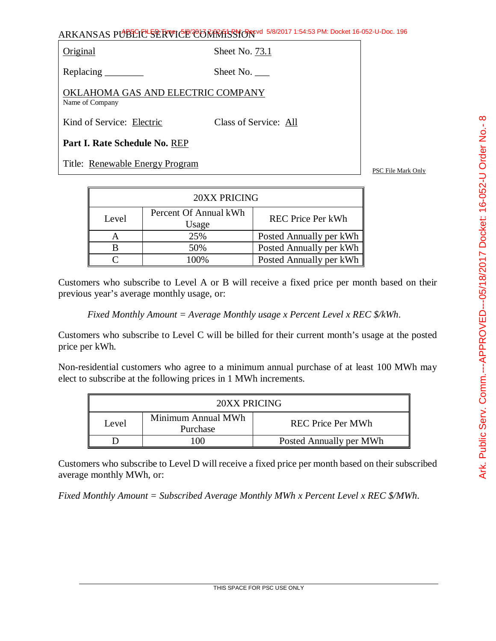Original Sheet No. 73.1

Replacing Sheet No.

OKLAHOMA GAS AND ELECTRIC COMPANY Name of Company

Kind of Service: Electric Class of Service: All

**Part I. Rate Schedule No.** REP

Title: <u>Renewable Energy Program</u> Prosesses and the set of the SSC File Mark Only

| 20XX PRICING |                                |                          |  |
|--------------|--------------------------------|--------------------------|--|
| Level        | Percent Of Annual kWh<br>Usage | <b>REC</b> Price Per kWh |  |
|              | 25%                            | Posted Annually per kWh  |  |
|              | 50%                            | Posted Annually per kWh  |  |
|              | $100\%$                        | Posted Annually per kWh  |  |

Customers who subscribe to Level A or B will receive a fixed price per month based on their previous year's average monthly usage, or:

*Fixed Monthly Amount = Average Monthly usage x Percent Level x REC \$/kWh*.

Customers who subscribe to Level C will be billed for their current month's usage at the posted price per kWh.

Non-residential customers who agree to a minimum annual purchase of at least 100 MWh may elect to subscribe at the following prices in 1 MWh increments.

| 20XX PRICING |                                |                          |
|--------------|--------------------------------|--------------------------|
| Level        | Minimum Annual MWh<br>Purchase | <b>REC Price Per MWh</b> |
|              | Œ                              | Posted Annually per MWh  |

Customers who subscribe to Level D will receive a fixed price per month based on their subscribed average monthly MWh, or:

*Fixed Monthly Amount = Subscribed Average Monthly MWh x Percent Level x REC \$/MWh*.